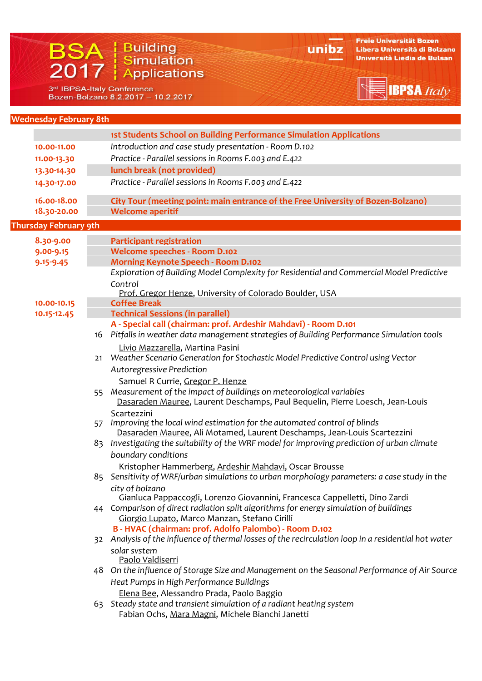# BSA | Building<br>2017 | Simulation

unibz

Freie Universität Bozen Libera Università di Bolzano Università Liedia de Bulsan

**BPSA** Italy

3rd IBPSA-Italy Conference Bozen-Bolzano 8.2.2017 - 10.2.2017

## **Wednesday February 8th**

|                              | <b>1st Students School on Building Performance Simulation Applications</b>                          |  |
|------------------------------|-----------------------------------------------------------------------------------------------------|--|
| 10.00-11.00                  | Introduction and case study presentation - Room D.102                                               |  |
| 11.00-13.30                  | Practice - Parallel sessions in Rooms F.003 and E.422                                               |  |
| 13.30-14.30                  | lunch break (not provided)                                                                          |  |
| 14.30-17.00                  | Practice - Parallel sessions in Rooms F.003 and E.422                                               |  |
| 16.00-18.00                  | City Tour (meeting point: main entrance of the Free University of Bozen-Bolzano)                    |  |
| 18.30-20.00                  | <b>Welcome aperitif</b>                                                                             |  |
| <b>Thursday February 9th</b> |                                                                                                     |  |
| 8.30-9.00                    | <b>Participant registration</b>                                                                     |  |
| 9.00-9.15                    | <b>Welcome speeches - Room D.102</b>                                                                |  |
| $9.15 - 9.45$                | <b>Morning Keynote Speech - Room D.102</b>                                                          |  |
|                              | Exploration of Building Model Complexity for Residential and Commercial Model Predictive<br>Control |  |
|                              | <u>Prof. Gregor Henze</u> , University of Colorado Boulder, USA                                     |  |
| 10.00-10.15                  | <b>Coffee Break</b>                                                                                 |  |
| 10.15-12.45                  | <b>Technical Sessions (in parallel)</b>                                                             |  |
|                              | A - Special call (chairman: prof. Ardeshir Mahdavi) - Room D.101                                    |  |
|                              | Pitfalls in weather data management strategies of Building Performance Simulation tools<br>16       |  |
|                              | Livio Mazzarella, Martina Pasini                                                                    |  |
|                              | Weather Scenario Generation for Stochastic Model Predictive Control using Vector<br>21              |  |
|                              | <b>Autoregressive Prediction</b>                                                                    |  |
|                              | Samuel R Currie, Gregor P. Henze                                                                    |  |
|                              | Measurement of the impact of buildings on meteorological variables<br>55                            |  |
|                              | Dasaraden Mauree, Laurent Deschamps, Paul Bequelin, Pierre Loesch, Jean-Louis                       |  |
|                              | Scartezzini<br>Improving the local wind estimation for the automated control of blinds<br>57        |  |
|                              | Dasaraden Mauree, Ali Motamed, Laurent Deschamps, Jean-Louis Scartezzini                            |  |
|                              | 83 Investigating the suitability of the WRF model for improving prediction of urban climate         |  |
|                              | boundary conditions                                                                                 |  |
|                              | Kristopher Hammerberg, Ardeshir Mahdavi, Oscar Brousse                                              |  |
|                              | 85 Sensitivity of WRF/urban simulations to urban morphology parameters: a case study in the         |  |
|                              | city of bolzano                                                                                     |  |
|                              | Gianluca Pappaccogli, Lorenzo Giovannini, Francesca Cappelletti, Dino Zardi                         |  |
|                              | 44 Comparison of direct radiation split algorithms for energy simulation of buildings               |  |

Giorgio Lupato, Marco Manzan, Stefano Cirilli

## **B ‐ HVAC (chairman: prof. Adolfo Palombo) ‐ Room D.102**

- 32 *Analysis of the influence of thermal losses of the recirculation loop in a residential hot water solar system* Paolo Valdiserri
- 48 *On the influence of Storage Size and Management on the Seasonal Performance of Air Source Heat Pumps in High Performance Buildings* Elena Bee, Alessandro Prada, Paolo Baggio
- 63 *Steady state and transient simulation of a radiant heating system* Fabian Ochs, Mara Magni, Michele Bianchi Janetti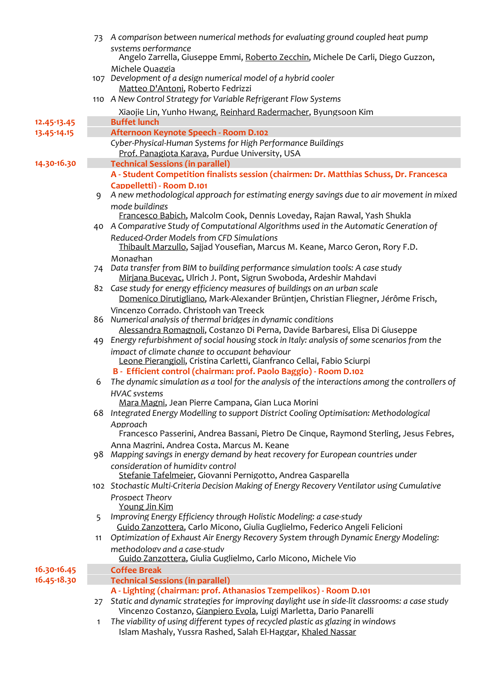|             | 73 | A comparison between numerical methods for evaluating ground coupled heat pump                                                                                                             |
|-------------|----|--------------------------------------------------------------------------------------------------------------------------------------------------------------------------------------------|
|             |    | systems performance<br>Angelo Zarrella, Giuseppe Emmi, Roberto Zecchin, Michele De Carli, Diego Guzzon,                                                                                    |
|             |    | Michele Ouaggia<br>107 Development of a design numerical model of a hybrid cooler<br>Matteo D'Antoni, Roberto Fedrizzi<br>110 A New Control Strategy for Variable Refrigerant Flow Systems |
|             |    | Xiaojie Lin, Yunho Hwang, Reinhard Radermacher, Byungsoon Kim                                                                                                                              |
| 12.45-13.45 |    | <b>Buffet lunch</b>                                                                                                                                                                        |
| 13.45-14.15 |    | Afternoon Keynote Speech - Room D.102                                                                                                                                                      |
|             |    | Cyber-Physical-Human Systems for High Performance Buildings<br>Prof. Panagiota Karava, Purdue University, USA                                                                              |
| 14.30-16.30 |    | <b>Technical Sessions (in parallel)</b>                                                                                                                                                    |
|             |    | A - Student Competition finalists session (chairmen: Dr. Matthias Schuss, Dr. Francesca                                                                                                    |
|             | 9  | <b>Cappelletti) - Room D.101</b><br>A new methodological approach for estimating energy savings due to air movement in mixed                                                               |
|             |    | mode buildings<br>Francesco Babich, Malcolm Cook, Dennis Loveday, Rajan Rawal, Yash Shukla                                                                                                 |
|             |    | 40 A Comparative Study of Computational Algorithms used in the Automatic Generation of                                                                                                     |
|             |    | Reduced-Order Models from CFD Simulations<br>Thibault Marzullo, Sajjad Yousefian, Marcus M. Keane, Marco Geron, Rory F.D.                                                                  |
|             | 74 | Monaghan<br>Data transfer from BIM to building performance simulation tools: A case study<br>Mirjana Bucevac, Ulrich J. Pont, Sigrun Swoboda, Ardeshir Mahdavi                             |
|             |    | 82 Case study for energy efficiency measures of buildings on an urban scale<br>Domenico Dirutigliano, Mark-Alexander Brüntjen, Christian Fliegner, Jérôme Frisch,                          |
|             |    | Vincenzo Corrado. Christoph van Treeck<br>86 Numerical analysis of thermal bridges in dynamic conditions<br>Alessandra Romagnoli, Costanzo Di Perna, Davide Barbaresi, Elisa Di Giuseppe   |
|             |    | 49 Energy refurbishment of social housing stock in Italy: analysis of some scenarios from the                                                                                              |
|             |    | impact of climate change to occupant behaviour<br>Leone Pierangioli, Cristina Carletti, Gianfranco Cellai, Fabio Sciurpi                                                                   |
|             |    | B - Efficient control (chairman: prof. Paolo Baggio) - Room D.102                                                                                                                          |
|             | 6  | The dynamic simulation as a tool for the analysis of the interactions among the controllers of<br><b>HVAC</b> systems                                                                      |
|             |    | Mara Magni, Jean Pierre Campana, Gian Luca Morini                                                                                                                                          |
|             |    | 68 Integrated Energy Modelling to support District Cooling Optimisation: Methodological                                                                                                    |
|             |    | Approach<br>Francesco Passerini, Andrea Bassani, Pietro De Cinque, Raymond Sterling, Jesus Febres,                                                                                         |
|             |    | Anna Magrini, Andrea Costa, Marcus M. Keane                                                                                                                                                |
|             |    | 98 Mapping savings in energy demand by heat recovery for European countries under                                                                                                          |
|             |    | consideration of humidity control<br>Stefanie Tafelmeier, Giovanni Pernigotto, Andrea Gasparella                                                                                           |
|             |    | 102 Stochastic Multi-Criteria Decision Making of Energy Recovery Ventilator using Cumulative                                                                                               |
|             |    | <b>Prospect Theory</b><br>Young Jin Kim                                                                                                                                                    |

- 5 *Improving Energy Efficiency through Holistic Modeling: a case‐study* Guido Zanzottera, Carlo Micono, Giulia Guglielmo, Federico Angeli Felicioni
- 11 *Optimization of Exhaust Air Energy Recovery System through Dynamic Energy Modeling: methodology and <sup>a</sup> case‐study* Guido Zanzottera, Giulia Guglielmo, Carlo Micono, Michele Vio

**16.30‐16.45 Coffee Break**

- 
- **16.45‐18.30 Technical Sessions (in parallel)**
	- **A ‐ Lighting (chairman: prof. Athanasios Tzempelikos) ‐ Room D.101**
- 27 *Static and dynamic strategies for improving daylight use in side‐lit classrooms: a case study* Vincenzo Costanzo, Gianpiero Evola, Luigi Marletta, Dario Panarelli
- 1 *The viability of using different types of recycled plastic as glazing in windows* Islam Mashaly, Yussra Rashed, Salah El‐Haggar, Khaled Nassar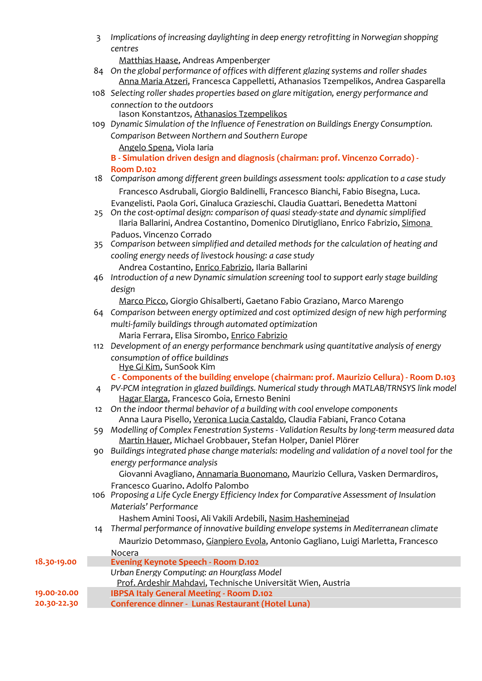3 *Implications of increasing daylighting in deep energy retrofitting in Norwegian shopping centres*

Matthias Haase, Andreas Ampenberger

- 84 *On the global performance of offices with different glazing systems and roller shades* Anna Maria Atzeri, Francesca Cappelletti, Athanasios Tzempelikos, Andrea Gasparella
- 108 *Selecting roller shades properties based on glare mitigation, energy performance and connection to the outdoors* Iason Konstantzos, Athanasios Tzempelikos

109 *Dynamic Simulation of the Influence of Fenestration on Buildings Energy Consumption. Comparison Between Northern and Southern Europe* Angelo Spena, Viola Iaria

**B ‐ Simulation driven design and diagnosis (chairman: prof. Vincenzo Corrado) ‐ Room D.102**

18 *Comparison among different green buildings assessment tools: application to a case study*

 Francesco Asdrubali, Giorgio Baldinelli, Francesco Bianchi, Fabio Bisegna, Luca. Evangelisti, Paola Gori, Ginaluca Grazieschi, Claudia Guattari, Benedetta Mattoni

- 25 *On the cost‐optimal design: comparison of quasi steady‐state and dynamic simplified* Ilaria Ballarini, Andrea Costantino, Domenico Dirutigliano, Enrico Fabrizio, Simona Paduos, Vincenzo Corrado
- 35 *Comparison between simplified and detailed methods for the calculation of heating and*
- *cooling energy needs of livestock housing: a case study* Andrea Costantino, Enrico Fabrizio, Ilaria Ballarini
- 46 *Introduction of a new Dynamic simulation screening tool to support early stage building design*

Marco Picco, Giorgio Ghisalberti, Gaetano Fabio Graziano, Marco Marengo

- 64 *Comparison between energy optimized and cost optimized design of new high performing multi‐family buildings through automated optimization* Maria Ferrara, Elisa Sirombo, Enrico Fabrizio
- 112 *Development of an energy performance benchmark using quantitative analysis of energy consumption of office buildings* Hye Gi Kim, SunSook Kim

# **C ‐ Components of the building envelope (chairman: prof. Maurizio Cellura) ‐ Room D.103**

- 4 *PV‐PCM integration in glazed buildings. Numerical study through MATLAB/TRNSYS link model* Hagar Elarga, Francesco Goia, Ernesto Benini
- 12 *On the indoor thermal behavior of a building with cool envelope components* Anna Laura Pisello, Veronica Lucia Castaldo, Claudia Fabiani, Franco Cotana
- 59 *Modelling of Complex Fenestration Systems ‐ Validation Results by long‐term measured data* Martin Hauer, Michael Grobbauer, Stefan Holper, Daniel Plörer
- 90 *Buildings integrated phase change materials: modeling and validation of a novel tool for the energy performance analysis*

 Giovanni Avagliano, Annamaria Buonomano, Maurizio Cellura, Vasken Dermardiros, Francesco Guarino, Adolfo Palombo

106 *Proposing a Life Cycle Energy Efficiency Index for Comparative Assessment of Insulation Materials' Performance*

|             | Hashem Amini Toosi, Ali Vakili Ardebili, Nasim Hasheminejad                             |
|-------------|-----------------------------------------------------------------------------------------|
|             | 14 Thermal performance of innovative building envelope systems in Mediterranean climate |
|             | Maurizio Detommaso, Gianpiero Evola, Antonio Gagliano, Luigi Marletta, Francesco        |
|             | <b>Nocera</b>                                                                           |
| 18.30-19.00 | <b>Evening Keynote Speech - Room D.102</b>                                              |
|             | Urban Energy Computing: an Hourglass Model                                              |
|             | Prof. Ardeshir Mahdavi, Technische Universität Wien, Austria                            |
| 19.00-20.00 | <b>IBPSA Italy General Meeting - Room D.102</b>                                         |
| 20.30-22.30 | <b>Conference dinner - Lunas Restaurant (Hotel Luna)</b>                                |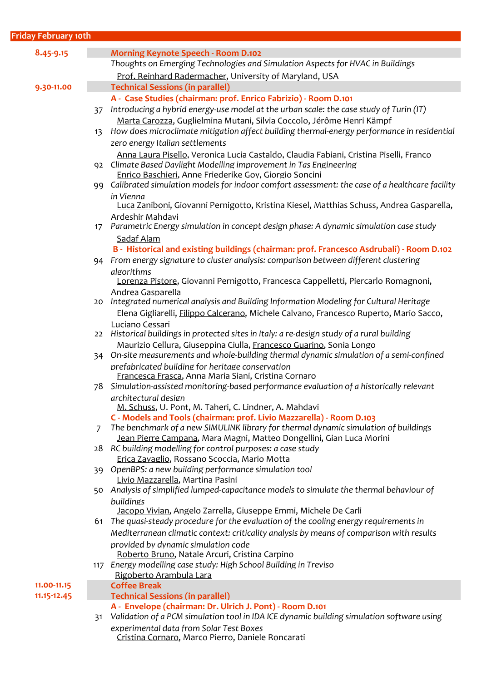| <b>Friday February 10th</b> |                |                                                                                                  |
|-----------------------------|----------------|--------------------------------------------------------------------------------------------------|
|                             |                |                                                                                                  |
| 8.45-9.15                   |                | <b>Morning Keynote Speech - Room D.102</b>                                                       |
|                             |                | Thoughts on Emerging Technologies and Simulation Aspects for HVAC in Buildings                   |
|                             |                | Prof. Reinhard Radermacher, University of Maryland, USA                                          |
| 9.30-11.00                  |                | <b>Technical Sessions (in parallel)</b>                                                          |
|                             |                | A - Case Studies (chairman: prof. Enrico Fabrizio) - Room D.101                                  |
|                             | 37             | Introducing a hybrid energy-use model at the urban scale: the case study of Turin (IT)           |
|                             |                | Marta Carozza, Guglielmina Mutani, Silvia Coccolo, Jérôme Henri Kämpf                            |
|                             | 13             | How does microclimate mitigation affect building thermal-energy performance in residential       |
|                             |                | zero energy Italian settlements                                                                  |
|                             |                | Anna Laura Pisello, Veronica Lucia Castaldo, Claudia Fabiani, Cristina Piselli, Franco           |
|                             |                | 92 Climate Based Daylight Modelling improvement in Tas Engineering                               |
|                             |                | Enrico Baschieri, Anne Friederike Goy, Giorgio Soncini                                           |
|                             |                | 99 Calibrated simulation models for indoor comfort assessment: the case of a healthcare facility |
|                             |                | in Vienna                                                                                        |
|                             |                | Luca Zaniboni, Giovanni Pernigotto, Kristina Kiesel, Matthias Schuss, Andrea Gasparella,         |
|                             |                | Ardeshir Mahdavi                                                                                 |
|                             | 17             | Parametric Energy simulation in concept design phase: A dynamic simulation case study            |
|                             |                | Sadaf Alam                                                                                       |
|                             |                | B - Historical and existing buildings (chairman: prof. Francesco Asdrubali) - Room D.102         |
|                             |                | 94 From energy signature to cluster analysis: comparison between different clustering            |
|                             |                | algorithms                                                                                       |
|                             |                | Lorenza Pistore, Giovanni Pernigotto, Francesca Cappelletti, Piercarlo Romagnoni,                |
|                             |                | Andrea Gasparella                                                                                |
|                             | 20             | Integrated numerical analysis and Building Information Modeling for Cultural Heritage            |
|                             |                | Elena Gigliarelli, Filippo Calcerano, Michele Calvano, Francesco Ruperto, Mario Sacco,           |
|                             |                | Luciano Cessari                                                                                  |
|                             | 22             | Historical buildings in protected sites in Italy: a re-design study of a rural building          |
|                             |                | Maurizio Cellura, Giuseppina Ciulla, Francesco Guarino, Sonia Longo                              |
|                             |                | 34 On-site measurements and whole-building thermal dynamic simulation of a semi-confined         |
|                             |                | prefabricated building for heritage conservation                                                 |
|                             |                | Francesca Frasca, Anna Maria Siani, Cristina Cornaro                                             |
|                             |                | 78 Simulation-assisted monitoring-based performance evaluation of a historically relevant        |
|                             |                | architectural design<br>M. Schuss, U. Pont, M. Taheri, C. Lindner, A. Mahdavi                    |
|                             |                | C - Models and Tools (chairman: prof. Livio Mazzarella) - Room D.103                             |
|                             | $\overline{7}$ | The benchmark of a new SIMULINK library for thermal dynamic simulation of buildings              |
|                             |                | Jean Pierre Campana, Mara Magni, Matteo Dongellini, Gian Luca Morini                             |
|                             |                | 28 RC building modelling for control purposes: a case study                                      |
|                             |                | Erica Zavaglio, Rossano Scoccia, Mario Motta                                                     |
|                             |                | 39 OpenBPS: a new building performance simulation tool                                           |
|                             |                | Livio Mazzarella, Martina Pasini                                                                 |
|                             | 50             | Analysis of simplified lumped-capacitance models to simulate the thermal behaviour of            |
|                             |                | buildings                                                                                        |
|                             |                |                                                                                                  |

 Jacopo Vivian, Angelo Zarrella, Giuseppe Emmi, Michele De Carli 61 *The quasi‐steady procedure for the evaluation of the cooling energy requirements in Mediterranean climatic context: criticality analysis by means of comparison with results provided by dynamic simulation code* Roberto Bruno, Natale Arcuri, Cristina Carpino 117 *Energy modelling case study: High School Building in Treviso* Rigoberto Arambula Lara **11.00‐11.15 Coffee Break 11.15‐12.45 Technical Sessions (in parallel) A ‐ Envelope (chairman: Dr. Ulrich J. Pont) ‐ Room D.101** 31 *Validation of a PCM simulation tool in IDA ICE dynamic building simulation software using*

*experimental data from Solar Test Boxes* Cristina Cornaro, Marco Pierro, Daniele Roncarati